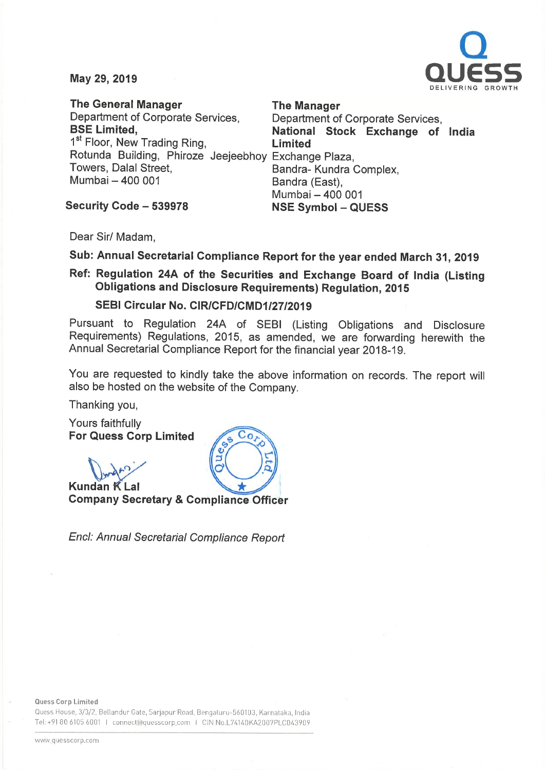

May 29, 2019

The General Manager The Manager Department of Corporate Services, Department of Corporate Services,<br>
BSE Limited. Corporate State of National Stock Exchange of 1<sup>st</sup> Floor, New Trading Ring, **Limited** Rotunda Building, Phiroze Jeejeebhoy Exchange Plaza, Towers, Dalal Street, **Sandra- Kundra Complex**, Mumbai - 400 001 Bandra (East),

National Stock Exchange of India Mumbai - 400 001

Security Code - 539978 NSE Symbol - QUESS

Dear Sir/ Madam,

Sub: Annual Secretarial Compliance Report for the year ended March 31, <sup>2019</sup>

Ref: Regulation 24A of the Securities and Exchange Board of India (Listing Obligations and Disclosure Requirements) Regulation, <sup>2015</sup>

SEBI Circular No. CIR/CFD/CMD1/27/2019

Pursuant to Regulation 24A of SEBI (Listing Obligations and Disclosure Requirements) Regulations, 2015, as amended, we are forwarding herewith the Annual Secretarial Compliance Report for the financial year 2018-19.

You are requested to kindly take the above information on records. The report will also be hosted on the website of the Company.

Thanking you,

Yours faithfully For Quess Corp Limited

 $\mathbb{D}_{\mathbb{A}^n}$ 

Kundan K Lal Company Secretary & Compliance Officer

Encl: Annual Secretarial Compliance Report

Ouess House, 3/3/2, Bellandur Gate, Sarjapur Road, Bengaluru-560103, Karnataka, India Tel: +91 80 6105 6001 I connect@quesscorp.com I CIN No.L74140KA2007PLC043909

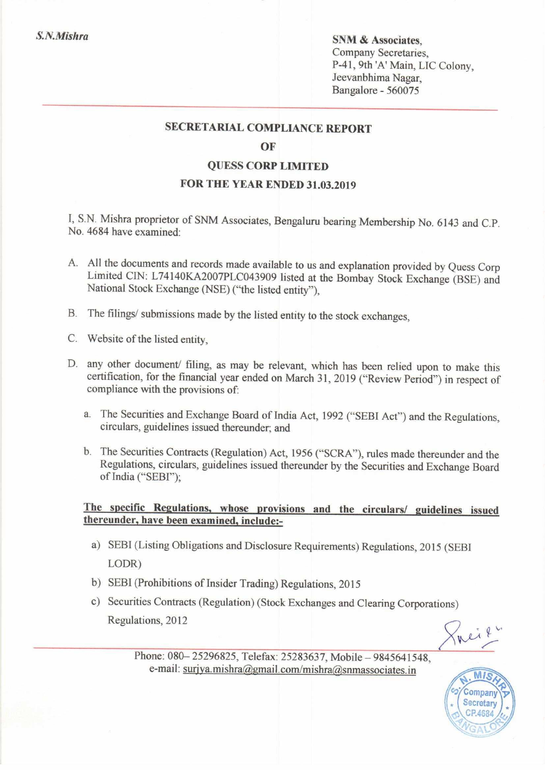S.N.Mishra SNM & Associates, Company Secretaries, P-41, 9th 'A' Main, LIC Colony, Jeevanbhima Nagar, Bangalore - 560075

#### SECRETARIAL COMPLIANCE REPORT

#### OF

### QUESS CORP LIMITED

# FOR THE YEAR ENDED 31.03.2019

I, S.N. Mishra proprietor of SNM Associates, Bengaluru bearing Membership No. <sup>6143</sup> and C.P. No. 4684 have examined:

- A. All the documents and records made available to us and explanation provided by Quess Corp Limited ClN: L74140KA2007PLC043909 listed at the Bombay Stock Exchange (BSE) and National Stock Exchange (NSE) ("the listed entity"),
- B. The filings/ submissions made by the listed entity to the stock exchanges,
- C. Website of the listed entity.
- D. any other document/ filing, as may be relevant, which has been relied upon to make this certification, for the financial year ended on March 31, <sup>2019</sup> ("Review Period") in respect of compliance with the provisions of:
	- a. The Securities and Exchange Board of India Act, <sup>1992</sup> ("SEBI Act") and the Regulations, circulars, guidelines issued thereunder; and
	- b. The Securities Contracts (Regulation) Act, <sup>1956</sup> ("SCRA"), rules made thereunder and the Regulations, circulars, guidelines issued thereunder by the Securities and Exchange Board of India ("SEBf');

# The specific Regulations, whose provisions and the circulars/ guidelines issued thereunder, have been examined, include:-

- a) SEBI (Listing Obligations and Disclosure Requirements) Regulations, <sup>2015</sup> (SEBI LODR)
- b) SEBI (Prohibitions of Insider Trading) Regulations, <sup>2015</sup>
- c) Securities Contracts (Regulation) (Stock Exchanges and Clearing Corporations) Regulations, 2012

nei ?

Phone: 080-25296825, Telefax: 25283637, Mobile-9845641548 e-mail: surjya.mishra@gmail.com/mishra@snmassociates.in

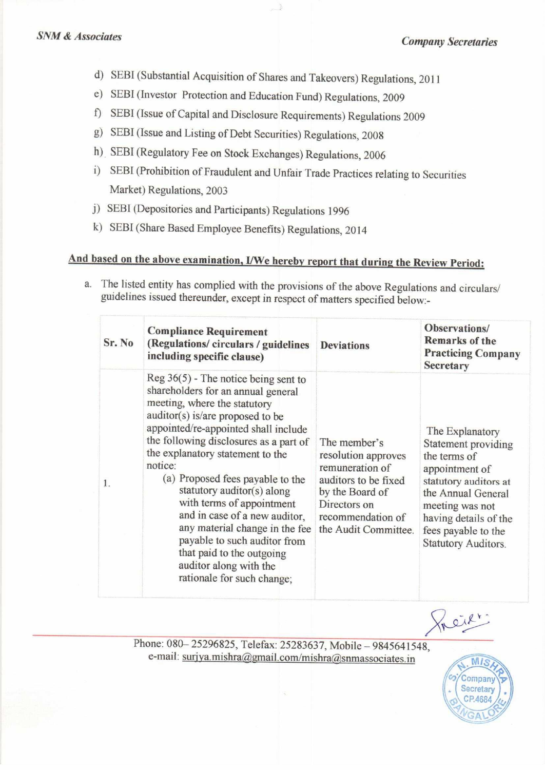- d) SEBI (Substantial Acquisition of Shares and Takeovers) Regulations, 2011
- e) SEBI (Investor Protection and Education Fund) Regulations, <sup>2009</sup>
- f) SEBI (Issue of Capital and Disclosure Requirements) Regulations <sup>2009</sup>
- g) SEBI (Issue and Listing of Debt Securities) Regulations, 2008
- h) SEBI (Regulatory Fee on Stock Exchanges) Regulations, 2006
- i) SEBI (Prohibition of Fraudulent and Unfair Trade Practices relating to Securities Market) Regulations, 2003
- j) SEBI (Depositories and Participants) Regulations 1996
- k) SEBI (Share Based Employee Benefits) Regulations, <sup>2014</sup>

# And based on the above examination, I/We hereby report that during the Review Period:

a. The listed entity has complied with the provisions of the above Regulations and circulars/ guidelines issued thereunder, except in respect of matters specified below-

| Sr. No | <b>Compliance Requirement</b><br>(Regulations/circulars/guidelines<br>including specific clause)                                                                                                                                                                                                                                                                                                                                                                                                                                                                          | <b>Deviations</b>                                                                                                                                              | Observations/<br><b>Remarks of the</b><br><b>Practicing Company</b><br><b>Secretary</b>                                                                                                                                  |
|--------|---------------------------------------------------------------------------------------------------------------------------------------------------------------------------------------------------------------------------------------------------------------------------------------------------------------------------------------------------------------------------------------------------------------------------------------------------------------------------------------------------------------------------------------------------------------------------|----------------------------------------------------------------------------------------------------------------------------------------------------------------|--------------------------------------------------------------------------------------------------------------------------------------------------------------------------------------------------------------------------|
| 1.     | $Reg\,36(5)$ - The notice being sent to<br>shareholders for an annual general<br>meeting, where the statutory<br>auditor(s) is/are proposed to be<br>appointed/re-appointed shall include<br>the following disclosures as a part of<br>the explanatory statement to the<br>notice:<br>(a) Proposed fees payable to the<br>statutory auditor(s) along<br>with terms of appointment<br>and in case of a new auditor,<br>any material change in the fee<br>payable to such auditor from<br>that paid to the outgoing<br>auditor along with the<br>rationale for such change; | The member's<br>resolution approves<br>remuneration of<br>auditors to be fixed<br>by the Board of<br>Directors on<br>recommendation of<br>the Audit Committee. | The Explanatory<br>Statement providing<br>the terms of<br>appointment of<br>statutory auditors at<br>the Annual General<br>meeting was not<br>having details of the<br>fees payable to the<br><b>Statutory Auditors.</b> |

neil

Phone: 080-25296825, Telefax: 25283637, Mobile - 9845641548, e-mail: surjya.mishra@gmail.com/mishra@snmassociates.in